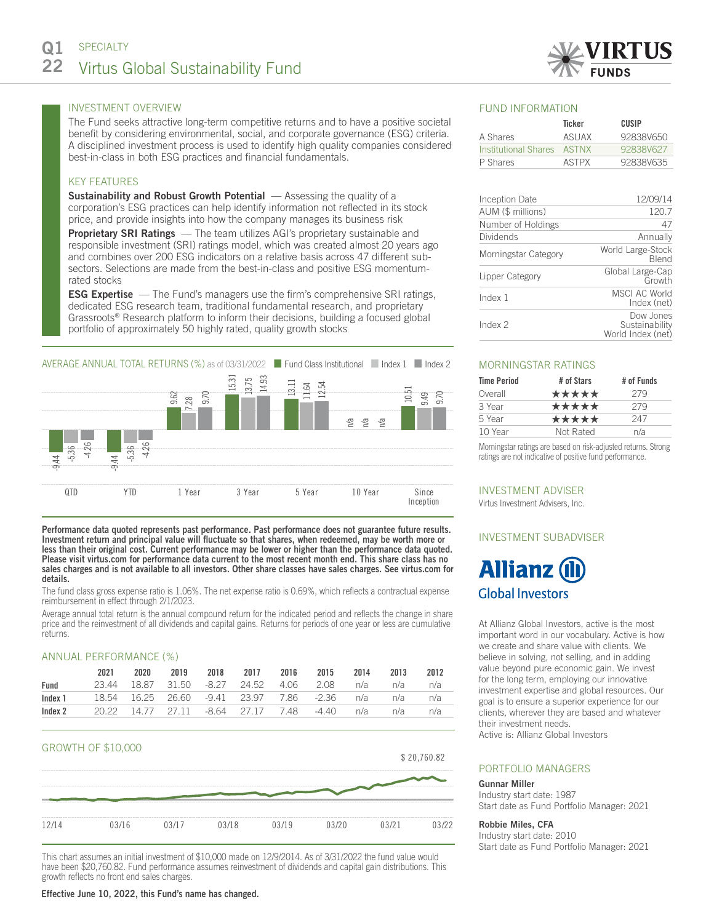

The Fund seeks attractive long-term competitive returns and to have a positive societal benefit by considering environmental, social, and corporate governance (ESG) criteria. A disciplined investment process is used to identify high quality companies considered best-in-class in both ESG practices and financial fundamentals.

# KEY FEATURES

**Sustainability and Robust Growth Potential**  $-$  Assessing the quality of a corporation's ESG practices can help identify information not reflected in its stock price, and provide insights into how the company manages its business risk

**Proprietary SRI Ratings** — The team utilizes AGI's proprietary sustainable and responsible investment (SRI) ratings model, which was created almost 20 years ago and combines over 200 ESG indicators on a relative basis across 47 different subsectors. Selections are made from the best-in-class and positive ESG momentumrated stocks

**ESG Expertise** — The Fund's managers use the firm's comprehensive SRI ratings, dedicated ESG research team, traditional fundamental research, and proprietary Grassroots® Research platform to inform their decisions, building a focused global portfolio of approximately 50 highly rated, quality growth stocks



Performance data quoted represents past performance. Past performance does not guarantee future results. Investment return and principal value will fluctuate so that shares, when redeemed, may be worth more or less than their original cost. Current performance may be lower or higher than the performance data quoted. Please visit virtus.com for performance data current to the most recent month end. This share class has no sales charges and is not available to all investors. Other share classes have sales charges. See virtus.com for details.

The fund class gross expense ratio is 1.06%. The net expense ratio is 0.69%, which reflects a contractual expense reimbursement in effect through 2/1/2023.

Average annual total return is the annual compound return for the indicated period and reflects the change in share price and the reinvestment of all dividends and capital gains. Returns for periods of one year or less are cumulative returns.

## ANNUAL PERFORMANCE (%)

|         | 2021 | 2020 | 2019 | 2018 | 2017 2016 | 2015                                         | 2014 | 2013 | 2012 |
|---------|------|------|------|------|-----------|----------------------------------------------|------|------|------|
| Fund    |      |      |      |      |           | 23.44 18.87 31.50 -8.27 24.52 4.06 2.08      | n/a  | n/a  | n/a  |
| Index 1 |      |      |      |      |           | 18.54 16.25 26.60 -9.41 23.97 7.86 -2.36 n/a |      | n/a  | n/a  |
| Index 2 |      |      |      |      |           | 20.22 14.77 27.11 -8.64 27.17 7.48 -4.40     | n/a  | n/a  | n/a  |



This chart assumes an initial investment of \$10,000 made on 12/9/2014. As of 3/31/2022 the fund value would have been \$20,760.82. Fund performance assumes reinvestment of dividends and capital gain distributions. This growth reflects no front end sales charges.

## FUND INFORMATION

|                            | Ticker       | CUSIP     |
|----------------------------|--------------|-----------|
| A Shares                   | ASUAX        | 92838V650 |
| Institutional Shares ASTNX |              | 92838V627 |
| P Shares                   | <b>ASTPX</b> | 92838V635 |

| Inception Date       | 12/09/14                                         |  |  |
|----------------------|--------------------------------------------------|--|--|
| AUM (\$ millions)    | 120.7                                            |  |  |
| Number of Holdings   | 47                                               |  |  |
| <b>Dividends</b>     | Annually                                         |  |  |
| Morningstar Category | World Large-Stock<br><b>Blend</b>                |  |  |
| Lipper Category      | Global Large-Cap<br>Growth                       |  |  |
| Index 1              | MSCI AC World<br>Index (net)                     |  |  |
| Index 2              | Dow Jones<br>Sustainability<br>World Index (net) |  |  |

### MORNINGSTAR RATINGS

| <b>Time Period</b> | # of Stars | # of Funds |  |  |
|--------------------|------------|------------|--|--|
| Overall            | *****      | 279        |  |  |
| 3 Year             | *****      | 279        |  |  |
| 5 Year             | *****      | 247        |  |  |
| 10 Year            | Not Rated  | n/a        |  |  |

Morningstar ratings are based on risk-adjusted returns. Strong ratings are not indicative of positive fund performance.

INVESTMENT ADVISER Virtus Investment Advisers, Inc.

# INVESTMENT SUBADVISER

# **Allianz (II Global Investors**

At Allianz Global Investors, active is the most important word in our vocabulary. Active is how we create and share value with clients. We believe in solving, not selling, and in adding value beyond pure economic gain. We invest for the long term, employing our innovative investment expertise and global resources. Our goal is to ensure a superior experience for our clients, wherever they are based and whatever their investment needs.

Active is: Allianz Global Investors

# PORTFOLIO MANAGERS

## Gunnar Miller

Industry start date: 1987 Start date as Fund Portfolio Manager: 2021

## Robbie Miles, CFA

Industry start date: 2010 Start date as Fund Portfolio Manager: 2021

#### Effective June 10, 2022, this Fund's name has changed.